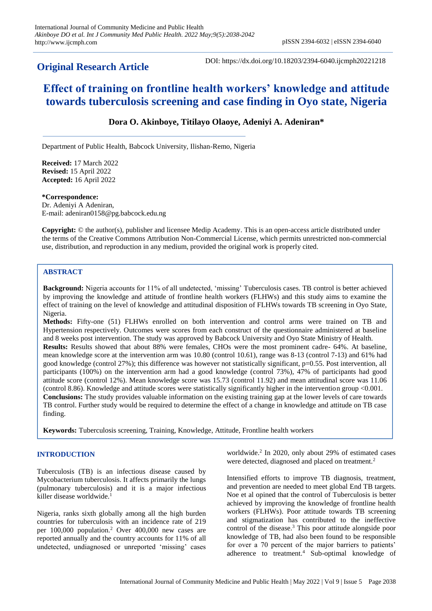# **Original Research Article**

DOI: https://dx.doi.org/10.18203/2394-6040.ijcmph20221218

# **Effect of training on frontline health workers' knowledge and attitude towards tuberculosis screening and case finding in Oyo state, Nigeria**

# **Dora O. Akinboye, Titilayo Olaoye, Adeniyi A. Adeniran\***

Department of Public Health, Babcock University, Ilishan-Remo, Nigeria

**Received:** 17 March 2022 **Revised:** 15 April 2022 **Accepted:** 16 April 2022

**\*Correspondence:** Dr. Adeniyi A Adeniran, E-mail: adeniran0158@pg.babcock.edu.ng

**Copyright:** © the author(s), publisher and licensee Medip Academy. This is an open-access article distributed under the terms of the Creative Commons Attribution Non-Commercial License, which permits unrestricted non-commercial use, distribution, and reproduction in any medium, provided the original work is properly cited.

# **ABSTRACT**

**Background:** Nigeria accounts for 11% of all undetected, 'missing' Tuberculosis cases. TB control is better achieved by improving the knowledge and attitude of frontline health workers (FLHWs) and this study aims to examine the effect of training on the level of knowledge and attitudinal disposition of FLHWs towards TB screening in Oyo State, Nigeria.

**Methods:** Fifty-one (51) FLHWs enrolled on both intervention and control arms were trained on TB and Hypertension respectively. Outcomes were scores from each construct of the questionnaire administered at baseline and 8 weeks post intervention. The study was approved by Babcock University and Oyo State Ministry of Health. **Results:** Results showed that about 88% were females, CHOs were the most prominent cadre- 64%. At baseline, mean knowledge score at the intervention arm was 10.80 (control 10.61), range was 8-13 (control 7-13) and 61% had good knowledge (control 27%); this difference was however not statistically significant, p=0.55. Post intervention, all participants (100%) on the intervention arm had a good knowledge (control 73%), 47% of participants had good attitude score (control 12%). Mean knowledge score was 15.73 (control 11.92) and mean attitudinal score was 11.06 (control 8.86). Knowledge and attitude scores were statistically significantly higher in the intervention group <0.001. **Conclusions:** The study provides valuable information on the existing training gap at the lower levels of care towards TB control. Further study would be required to determine the effect of a change in knowledge and attitude on TB case finding.

**Keywords:** Tuberculosis screening, Training, Knowledge, Attitude, Frontline health workers

# **INTRODUCTION**

Tuberculosis (TB) is an infectious disease caused by Mycobacterium tuberculosis. It affects primarily the lungs (pulmonary tuberculosis) and it is a major infectious killer disease worldwide.<sup>1</sup>

Nigeria, ranks sixth globally among all the high burden countries for tuberculosis with an incidence rate of 219 per 100,000 population.<sup>2</sup> Over 400,000 new cases are reported annually and the country accounts for 11% of all undetected, undiagnosed or unreported 'missing' cases

worldwide.<sup>2</sup> In 2020, only about 29% of estimated cases were detected, diagnosed and placed on treatment.<sup>2</sup>

Intensified efforts to improve TB diagnosis, treatment, and prevention are needed to meet global End TB targets. Noe et al opined that the control of Tuberculosis is better achieved by improving the knowledge of frontline health workers (FLHWs). Poor attitude towards TB screening and stigmatization has contributed to the ineffective control of the disease.<sup>3</sup> This poor attitude alongside poor knowledge of TB, had also been found to be responsible for over a 70 percent of the major barriers to patients' adherence to treatment.<sup>4</sup> Sub-optimal knowledge of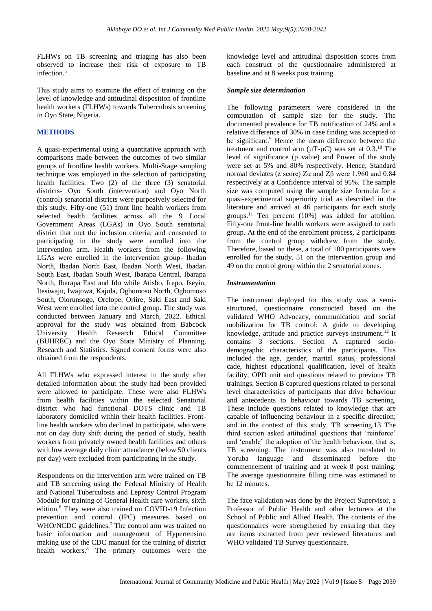FLHWs on TB screening and triaging has also been observed to increase their risk of exposure to TB infection.<sup>5</sup>

This study aims to examine the effect of training on the level of knowledge and attitudinal disposition of frontline health workers (FLHWs) towards Tuberculosis screening in Oyo State, Nigeria.

# **METHODS**

A quasi-experimental using a quantitative approach with comparisons made between the outcomes of two similar groups of frontline health workers. Multi-Stage sampling technique was employed in the selection of participating health facilities. Two (2) of the three (3) senatorial districts- Oyo South (intervention) and Oyo North (control) senatorial districts were purposively selected for this study. Fifty-one (51) front line health workers from selected health facilities across all the 9 Local Government Areas (LGAs) in Oyo South senatorial district that met the inclusion criteria; and consented to participating in the study were enrolled into the intervention arm. Health workers from the following LGAs were enrolled in the intervention group- Ibadan North, Ibadan North East, Ibadan North West, Ibadan South East, Ibadan South West, Ibarapa Central, Ibarapa North, Ibarapa East and Ido while Atisbo, Irepo, Iseyin, Itesiwaju, Iwajowa, Kajola, Ogbomoso North, Ogbomoso South, Olorunsogo, Orelope, Oriire, Saki East and Saki West were enrolled into the control group. The study was conducted between January and March, 2022. Ethical approval for the study was obtained from Babcock University Health Research Ethical Committee (BUHREC) and the Oyo State Ministry of Planning, Research and Statistics. Signed consent forms were also obtained from the respondents.

All FLHWs who expressed interest in the study after detailed information about the study had been provided were allowed to participate. These were also FLHWs from health facilities within the selected Senatorial district who had functional DOTS clinic and TB laboratory domiciled within their health facilities. Frontline health workers who declined to participate, who were not on day duty shift during the period of study, health workers from privately owned health facilities and others with low average daily clinic attendance (below 50 clients) per day) were excluded from participating in the study.

Respondents on the intervention arm were trained on TB and TB screening using the Federal Ministry of Health and National Tuberculosis and Leprosy Control Program Module for training of General Health care workers, sixth edition.<sup>6</sup> They were also trained on COVID-19 Infection prevention and control (IPC) measures based on WHO/NCDC guidelines.<sup>7</sup> The control arm was trained on basic information and management of Hypertension making use of the CDC manual for the training of district health workers.<sup>8</sup> The primary outcomes were the knowledge level and attitudinal disposition scores from each construct of the questionnaire administered at baseline and at 8 weeks post training.

# *Sample size determination*

The following parameters were considered in the computation of sample size for the study. The documented prevalence for TB notification of 24% and a relative difference of 30% in case finding was accepted to be significant.<sup>9</sup> Hence the mean difference between the treatment and control arm  $(\mu T - \mu C)$  was set at 0.3.<sup>10</sup> The level of significance (p value) and Power of the study were set at 5% and 80% respectively. Hence, Standard normal deviates (z score) Zα and Zβ were 1.960 and 0.84 respectively at a Confidence interval of 95%. The sample size was computed using the sample size formula for a quasi-experimental superiority trial as described in the literature and arrived at 46 participants for each study groups.<sup>11</sup> Ten percent  $(10\%)$  was added for attrition. Fifty-one front-line health workers were assigned to each group. At the end of the enrolment process, 2 participants from the control group withdrew from the study. Therefore, based on these, a total of 100 participants were enrolled for the study, 51 on the intervention group and 49 on the control group within the 2 senatorial zones.

#### *Instrumentation*

The instrument deployed for this study was a semistructured, questionnaire constructed based on the validated WHO Advocacy, communication and social mobilization for TB control: A guide to developing knowledge, attitude and practice surveys instrument.<sup>12</sup> It contains 3 sections. Section A captured sociodemographic characteristics of the participants. This included the age, gender, marital status, professional cade, highest educational qualification, level of health facility, OPD unit and questions related to previous TB trainings. Section B captured questions related to personal level characteristics of participants that drive behaviour and antecedents to behaviour towards TB screening. These include questions related to knowledge that are capable of influencing behaviour in a specific direction; and in the context of this study, TB screening.13 The third section asked attitudinal questions that 'reinforce' and 'enable' the adoption of the health behaviour, that is, TB screening. The instrument was also translated to Yoruba language and disseminated before the commencement of training and at week 8 post training. The average questionnaire filling time was estimated to be 12 minutes.

The face validation was done by the Project Supervisor, a Professor of Public Health and other lecturers at the School of Public and Allied Health. The contents of the questionnaires were strengthened by ensuring that they are items extracted from peer reviewed literatures and WHO validated TB Survey questionnaire.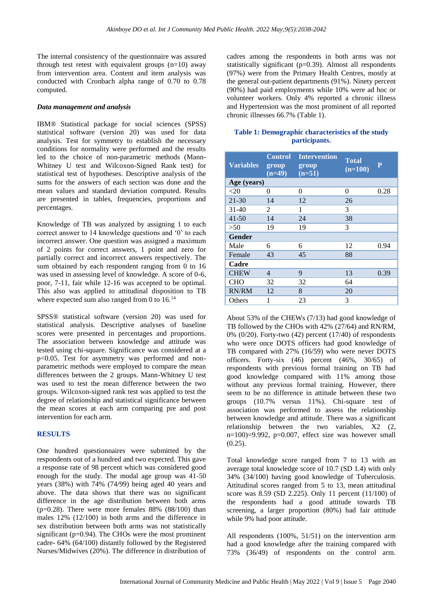The internal consistency of the questionnaire was assured through test retest with equivalent groups  $(n=10)$  away from intervention area. Content and item analysis was conducted with Cronbach alpha range of 0.70 to 0.78 computed.

#### *Data management and analysis*

IBM® Statistical package for social sciences (SPSS) statistical software (version 20) was used for data analysis. Test for symmetry to establish the necessary conditions for normality were performed and the results led to the choice of non-parametric methods (Mann-Whitney U test and Wilcoxon-Signed Rank test) for statistical test of hypotheses. Descriptive analysis of the sums for the answers of each section was done and the mean values and standard deviation computed. Results are presented in tables, frequencies, proportions and percentages.

Knowledge of TB was analyzed by assigning 1 to each correct answer to 14 knowledge questions and '0' to each incorrect answer. One question was assigned a maximum of 2 points for correct answers, 1 point and zero for partially correct and incorrect answers respectively. The sum obtained by each respondent ranging from 0 to 16 was used in assessing level of knowledge. A score of 0-6, poor, 7-11, fair while 12-16 was accepted to be optimal. This also was applied to attitudinal disposition to TB where expected sum also ranged from 0 to  $16.^{14}$ 

SPSS® statistical software (version 20) was used for statistical analysis. Descriptive analyses of baseline scores were presented in percentages and proportions. The association between knowledge and attitude was tested using chi-square. Significance was considered at a p<0.05. Test for asymmetry was performed and nonparametric methods were employed to compare the mean differences between the 2 groups. Mann-Whitney U test was used to test the mean difference between the two groups. Wilcoxon-signed rank test was applied to test the degree of relationship and statistical significance between the mean scores at each arm comparing pre and post intervention for each arm.

# **RESULTS**

One hundred questionnaires were submitted by the respondents out of a hundred and two expected. This gave a response rate of 98 percent which was considered good enough for the study. The modal age group was 41-50 years (38%) with 74% (74/99) being aged 40 years and above. The data shows that there was no significant difference in the age distribution between both arms ( $p=0.28$ ). There were more females 88% ( $88/100$ ) than males 12% (12/100) in both arms and the difference in sex distribution between both arms was not statistically significant  $(p=0.94)$ . The CHOs were the most prominent cadre- 64% (64/100) distantly followed by the Registered Nurses/Midwives (20%). The difference in distribution of

cadres among the respondents in both arms was not statistically significant (p=0.39). Almost all respondents (97%) were from the Primary Health Centres, mostly at the general out-patient departments (91%). Ninety percent (90%) had paid employments while 10% were ad hoc or volunteer workers. Only 4% reported a chronic illness and Hypertension was the most prominent of all reported chronic illnesses 66.7% (Table 1).

| Table 1: Demographic characteristics of the study |  |
|---------------------------------------------------|--|
| participants.                                     |  |

| <b>Variables</b> | <b>Control</b><br>group<br>$(n=49)$ | <b>Intervention</b><br>group<br>$(n=51)$ | <b>Total</b><br>$(n=100)$ | $\overline{\mathbf{P}}$ |
|------------------|-------------------------------------|------------------------------------------|---------------------------|-------------------------|
| Age (years)      |                                     |                                          |                           |                         |
| $<$ 20           | 0                                   | 0                                        | $\theta$                  | 0.28                    |
| 21-30            | 14                                  | 12                                       | 26                        |                         |
| $31-40$          | 2                                   | 1                                        | 3                         |                         |
| $41 - 50$        | 14                                  | 24                                       | 38                        |                         |
| >50              | 19                                  | 19                                       | 3                         |                         |
| <b>Gender</b>    |                                     |                                          |                           |                         |
| Male             | 6                                   | 6                                        | 12                        | 0.94                    |
| Female           | 43                                  | 45                                       | 88                        |                         |
| Cadre            |                                     |                                          |                           |                         |
| <b>CHEW</b>      | 4                                   | 9                                        | 13                        | 0.39                    |
| <b>CHO</b>       | 32                                  | 32                                       | 64                        |                         |
| RN/RM            | 12                                  | 8                                        | 20                        |                         |
| Others           | 1                                   | 23                                       | 3                         |                         |

About 53% of the CHEWs (7/13) had good knowledge of TB followed by the CHOs with 42% (27/64) and RN/RM, 0% (0/20). Forty-two (42) percent (17/40) of respondents who were once DOTS officers had good knowledge of TB compared with 27% (16/59) who were never DOTS officers. Forty-six (46) percent (46%, 30/65) of respondents with previous formal training on TB had good knowledge compared with 11% among those without any previous formal training. However, there seem to be no difference in attitude between these two groups (10.7% versus 11%). Chi-square test of association was performed to assess the relationship between knowledge and attitude. There was a significant relationship between the two variables, X2 (2, n=100 $=9.992$ , p=0.007, effect size was however small  $(0.25)$ .

Total knowledge score ranged from 7 to 13 with an average total knowledge score of 10.7 (SD 1.4) with only 34% (34/100) having good knowledge of Tuberculosis. Attitudinal scores ranged from 5 to 13, mean attitudinal score was 8.59 (SD 2.225). Only 11 percent (11/100) of the respondents had a good attitude towards TB screening, a larger proportion (80%) had fair attitude while 9% had poor attitude.

All respondents (100%, 51/51) on the intervention arm had a good knowledge after the training compared with 73% (36/49) of respondents on the control arm.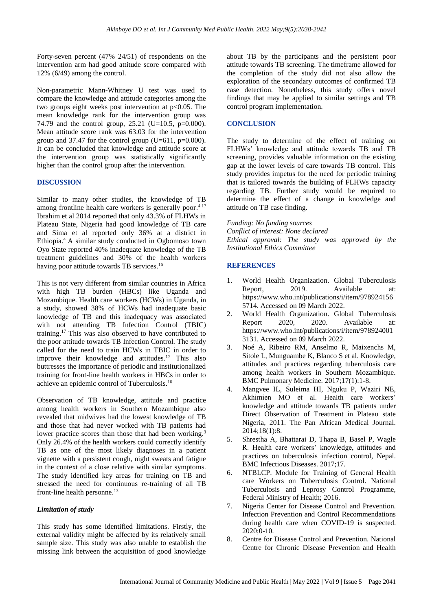Forty-seven percent (47% 24/51) of respondents on the intervention arm had good attitude score compared with 12% (6/49) among the control.

Non-parametric Mann-Whitney U test was used to compare the knowledge and attitude categories among the two groups eight weeks post intervention at p<0.05. The mean knowledge rank for the intervention group was 74.79 and the control group, 25.21 (U=10.5,  $p=0.000$ ). Mean attitude score rank was 63.03 for the intervention group and 37.47 for the control group (U=611,  $p=0.000$ ). It can be concluded that knowledge and attitude score at the intervention group was statistically significantly higher than the control group after the intervention.

# **DISCUSSION**

Similar to many other studies, the knowledge of TB among frontline health care workers is generally poor.<sup>4,17</sup> Ibrahim et al 2014 reported that only 43.3% of FLHWs in Plateau State, Nigeria had good knowledge of TB care and Sima et al reported only 36% at a district in Ethiopia.<sup>4</sup>A similar study conducted in Ogbomoso town Oyo State reported 40% inadequate knowledge of the TB treatment guidelines and 30% of the health workers having poor attitude towards TB services.<sup>16</sup>

This is not very different from similar countries in Africa with high TB burden (HBCs) like Uganda and Mozambique. Health care workers (HCWs) in Uganda, in a study, showed 38% of HCWs had inadequate basic knowledge of TB and this inadequacy was associated with not attending TB Infection Control (TBIC) training. <sup>17</sup> This was also observed to have contributed to the poor attitude towards TB Infection Control. The study called for the need to train HCWs in TBIC in order to improve their knowledge and attitudes. <sup>17</sup> This also buttresses the importance of periodic and institutionalized training for front-line health workers in HBCs in order to achieve an epidemic control of Tuberculosis.<sup>16</sup>

Observation of TB knowledge, attitude and practice among health workers in Southern Mozambique also revealed that midwives had the lowest knowledge of TB and those that had never worked with TB patients had lower practice scores than those that had been working.<sup>3</sup> Only 26.4% of the health workers could correctly identify TB as one of the most likely diagnoses in a patient vignette with a persistent cough, night sweats and fatigue in the context of a close relative with similar symptoms. The study identified key areas for training on TB and stressed the need for continuous re-training of all TB front-line health personne. 13

# *Limitation of study*

This study has some identified limitations. Firstly, the external validity might be affected by its relatively small sample size. This study was also unable to establish the missing link between the acquisition of good knowledge

about TB by the participants and the persistent poor attitude towards TB screening. The timeframe allowed for the completion of the study did not also allow the exploration of the secondary outcomes of confirmed TB case detection. Nonetheless, this study offers novel findings that may be applied to similar settings and TB control program implementation.

# **CONCLUSION**

The study to determine of the effect of training on FLHWs' knowledge and attitude towards TB and TB screening, provides valuable information on the existing gap at the lower levels of care towards TB control. This study provides impetus for the need for periodic training that is tailored towards the building of FLHWs capacity regarding TB. Further study would be required to determine the effect of a change in knowledge and attitude on TB case finding.

*Funding: No funding sources Conflict of interest: None declared Ethical approval: The study was approved by the Institutional Ethics Committee*

# **REFERENCES**

- 1. World Health Organization. Global Tuberculosis Report, 2019. Available at: https://www.who.int/publications/i/item/978924156 5714. Accessed on 09 March 2022.
- 2. World Health Organization. Global Tuberculosis<br>Report 2020. 2020. Available at: 2020. 2020. Available at: https://www.who.int/publications/i/item/978924001 3131. Accessed on 09 March 2022.
- 3. Noé A, Ribeiro RM, Anselmo R, Maixenchs M, Sitole L, Munguambe K, Blanco S et al. Knowledge, attitudes and practices regarding tuberculosis care among health workers in Southern Mozambique. BMC Pulmonary Medicine. 2017;17(1):1-8.
- 4. Mangvee IL, Suleima HI, Nguku P, Waziri NE, Akhimien MO et al. Health care workers' knowledge and attitude towards TB patients under Direct Observation of Treatment in Plateau state Nigeria, 2011. The Pan African Medical Journal. 2014;18(1):8.
- 5. Shrestha A, Bhattarai D, Thapa B, Basel P, Wagle R. Health care workers' knowledge, attitudes and practices on tuberculosis infection control, Nepal. BMC Infectious Diseases. 2017;17.
- 6. NTBLCP. Module for Training of General Health care Workers on Tuberculosis Control. National Tuberculosis and Leprosy Control Programme, Federal Ministry of Health; 2016.
- 7. Nigeria Center for Disease Control and Prevention. Infection Prevention and Control Recommendations during health care when COVID-19 is suspected. 2020;0-10.
- 8. Centre for Disease Control and Prevention. National Centre for Chronic Disease Prevention and Health